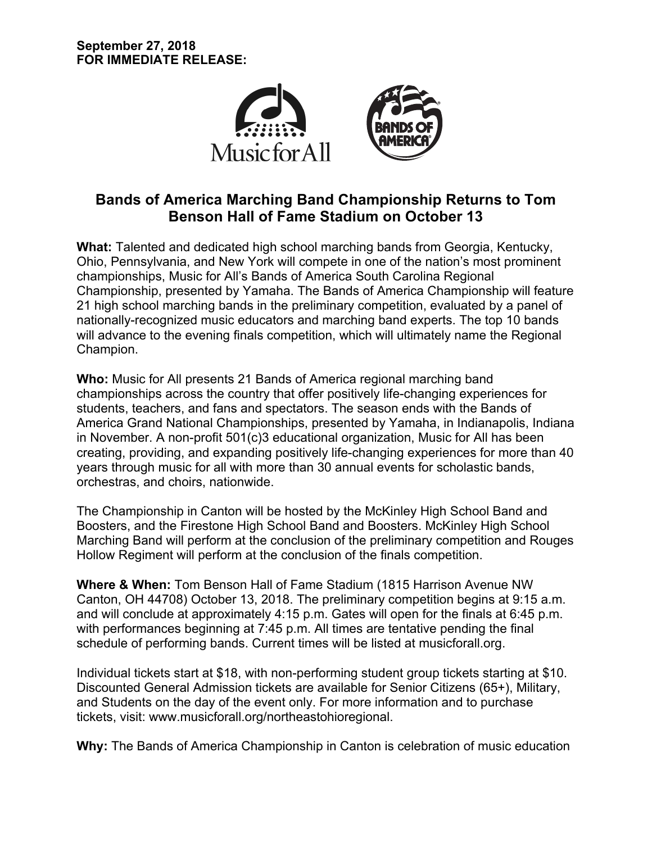

# **Bands of America Marching Band Championship Returns to Tom Benson Hall of Fame Stadium on October 13**

**What:** Talented and dedicated high school marching bands from Georgia, Kentucky, Ohio, Pennsylvania, and New York will compete in one of the nation's most prominent championships, Music for All's Bands of America South Carolina Regional Championship, presented by Yamaha. The Bands of America Championship will feature 21 high school marching bands in the preliminary competition, evaluated by a panel of nationally-recognized music educators and marching band experts. The top 10 bands will advance to the evening finals competition, which will ultimately name the Regional Champion.

**Who:** Music for All presents 21 Bands of America regional marching band championships across the country that offer positively life-changing experiences for students, teachers, and fans and spectators. The season ends with the Bands of America Grand National Championships, presented by Yamaha, in Indianapolis, Indiana in November. A non-profit 501(c)3 educational organization, Music for All has been creating, providing, and expanding positively life-changing experiences for more than 40 years through music for all with more than 30 annual events for scholastic bands, orchestras, and choirs, nationwide.

The Championship in Canton will be hosted by the McKinley High School Band and Boosters, and the Firestone High School Band and Boosters. McKinley High School Marching Band will perform at the conclusion of the preliminary competition and Rouges Hollow Regiment will perform at the conclusion of the finals competition.

**Where & When:** Tom Benson Hall of Fame Stadium (1815 Harrison Avenue NW Canton, OH 44708) October 13, 2018. The preliminary competition begins at 9:15 a.m. and will conclude at approximately 4:15 p.m. Gates will open for the finals at 6:45 p.m. with performances beginning at 7:45 p.m. All times are tentative pending the final schedule of performing bands. Current times will be listed at musicforall.org.

Individual tickets start at \$18, with non-performing student group tickets starting at \$10. Discounted General Admission tickets are available for Senior Citizens (65+), Military, and Students on the day of the event only. For more information and to purchase tickets, visit: www.musicforall.org/northeastohioregional.

**Why:** The Bands of America Championship in Canton is celebration of music education